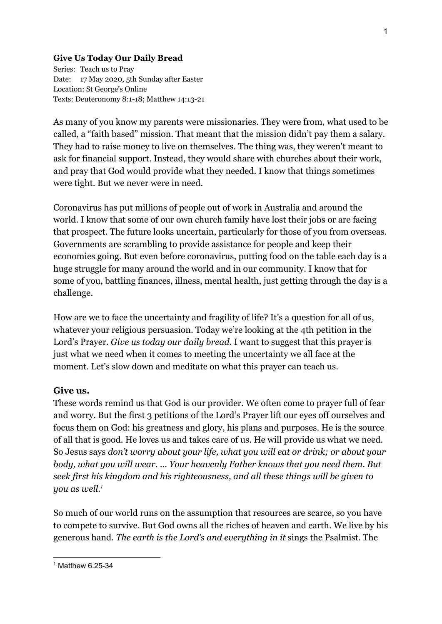## **Give Us Today Our Daily Bread**

Series: Teach us to Pray Date: 17 May 2020, 5th Sunday after Easter Location: St George's Online Texts: Deuteronomy 8:1-18; Matthew 14:13-21

As many of you know my parents were missionaries. They were from, what used to be called, a "faith based" mission. That meant that the mission didn't pay them a salary. They had to raise money to live on themselves. The thing was, they weren't meant to ask for financial support. Instead, they would share with churches about their work, and pray that God would provide what they needed. I know that things sometimes were tight. But we never were in need.

Coronavirus has put millions of people out of work in Australia and around the world. I know that some of our own church family have lost their jobs or are facing that prospect. The future looks uncertain, particularly for those of you from overseas. Governments are scrambling to provide assistance for people and keep their economies going. But even before coronavirus, putting food on the table each day is a huge struggle for many around the world and in our community. I know that for some of you, battling finances, illness, mental health, just getting through the day is a challenge.

How are we to face the uncertainty and fragility of life? It's a question for all of us, whatever your religious persuasion. Today we're looking at the 4th petition in the Lord's Prayer. *Give us today our daily bread*. I want to suggest that this prayer is just what we need when it comes to meeting the uncertainty we all face at the moment. Let's slow down and meditate on what this prayer can teach us.

## **Give us.**

These words remind us that God is our provider. We often come to prayer full of fear and worry. But the first 3 petitions of the Lord's Prayer lift our eyes off ourselves and focus them on God: his greatness and glory, his plans and purposes. He is the source of all that is good. He loves us and takes care of us. He will provide us what we need. So Jesus says *don't worry about your life, what you will eat or drink; or about your body, what you will wear.* … *Your heavenly Father knows that you need them. But seek first his kingdom and his righteousness, and all these things will be given to you as well.<sup>1</sup>*

So much of our world runs on the assumption that resources are scarce, so you have to compete to survive. But God owns all the riches of heaven and earth. We live by his generous hand. *The earth is the Lord's and everything in it* sings the Psalmist. The

<sup>1</sup> Matthew 6.25-34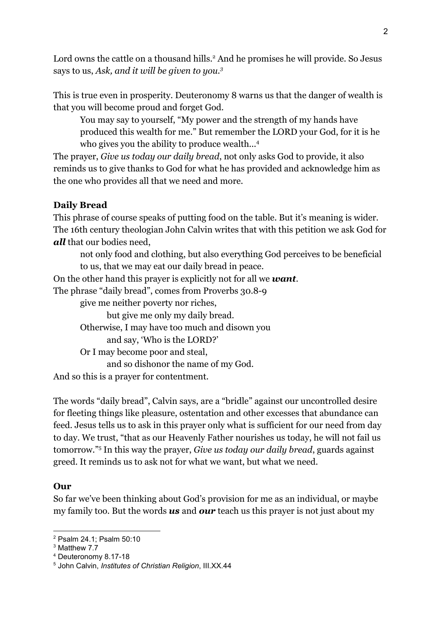Lord owns the cattle on a thousand hills.<sup>2</sup> And he promises he will provide. So Jesus says to us, *Ask, and it will be given to you.<sup>3</sup>*

This is true even in prosperity. Deuteronomy 8 warns us that the danger of wealth is that you will become proud and forget God.

You may say to yourself, "My power and the strength of my hands have produced this wealth for me." But remember the LORD your God, for it is he who gives you the ability to produce wealth...<sup>4</sup>

The prayer, *Give us today our daily bread*, not only asks God to provide, it also reminds us to give thanks to God for what he has provided and acknowledge him as the one who provides all that we need and more.

## **Daily Bread**

This phrase of course speaks of putting food on the table. But it's meaning is wider. The 16th century theologian John Calvin writes that with this petition we ask God for *all* that our bodies need,

not only food and clothing, but also everything God perceives to be beneficial to us, that we may eat our daily bread in peace.

On the other hand this prayer is explicitly not for all we *want.*

The phrase "daily bread", comes from Proverbs 30.8-9

give me neither poverty nor riches,

but give me only my daily bread.

Otherwise, I may have too much and disown you

and say, 'Who is the LORD?'

Or I may become poor and steal,

and so dishonor the name of my God.

And so this is a prayer for contentment.

The words "daily bread", Calvin says, are a "bridle" against our uncontrolled desire for fleeting things like pleasure, ostentation and other excesses that abundance can feed. Jesus tells us to ask in this prayer only what is sufficient for our need from day to day. We trust, "that as our Heavenly Father nourishes us today, he will not fail us tomorrow."<sup>5</sup> In this way the prayer, *Give us today our daily bread*, guards against greed. It reminds us to ask not for what we want, but what we need.

## **Our**

So far we've been thinking about God's provision for me as an individual, or maybe my family too. But the words *us* and *our* teach us this prayer is not just about my

<sup>2</sup> Psalm 24.1; Psalm 50:10

<sup>&</sup>lt;sup>3</sup> Matthew 7.7

<sup>4</sup> Deuteronomy 8.17-18

<sup>5</sup> John Calvin, *Institutes of Christian Religion*, III.XX.44